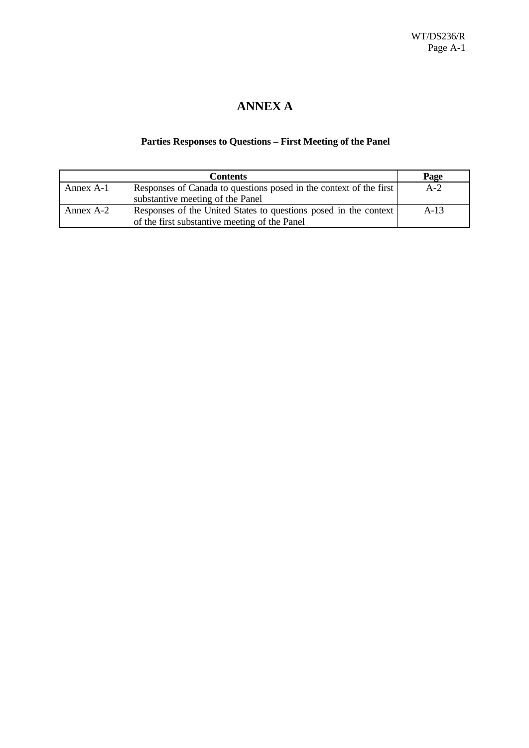# **ANNEX A**

### **Parties Responses to Questions – First Meeting of the Panel**

|           | <b>Contents</b>                                                    | Page   |
|-----------|--------------------------------------------------------------------|--------|
| Annex A-1 | Responses of Canada to questions posed in the context of the first | $A-2$  |
|           | substantive meeting of the Panel                                   |        |
| Annex A-2 | Responses of the United States to questions posed in the context   | $A-13$ |
|           | of the first substantive meeting of the Panel                      |        |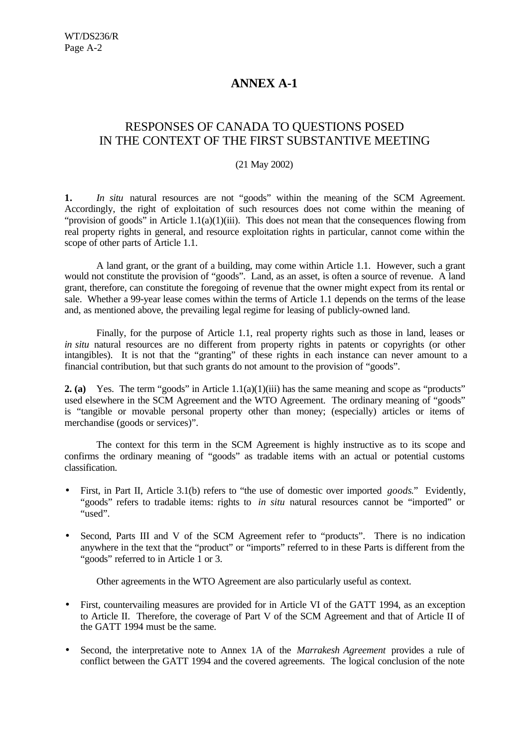# **ANNEX A-1**

### RESPONSES OF CANADA TO QUESTIONS POSED IN THE CONTEXT OF THE FIRST SUBSTANTIVE MEETING

#### (21 May 2002)

**1.** *In situ* natural resources are not "goods" within the meaning of the SCM Agreement. Accordingly, the right of exploitation of such resources does not come within the meaning of "provision of goods" in Article 1.1(a)(1)(iii). This does not mean that the consequences flowing from real property rights in general, and resource exploitation rights in particular, cannot come within the scope of other parts of Article 1.1.

A land grant, or the grant of a building, may come within Article 1.1. However, such a grant would not constitute the provision of "goods". Land, as an asset, is often a source of revenue. A land grant, therefore, can constitute the foregoing of revenue that the owner might expect from its rental or sale. Whether a 99-year lease comes within the terms of Article 1.1 depends on the terms of the lease and, as mentioned above, the prevailing legal regime for leasing of publicly-owned land.

Finally, for the purpose of Article 1.1, real property rights such as those in land, leases or *in situ* natural resources are no different from property rights in patents or copyrights (or other intangibles). It is not that the "granting" of these rights in each instance can never amount to a financial contribution, but that such grants do not amount to the provision of "goods".

**2. (a)** Yes. The term "goods" in Article 1.1(a)(1)(iii) has the same meaning and scope as "products" used elsewhere in the SCM Agreement and the WTO Agreement. The ordinary meaning of "goods" is "tangible or movable personal property other than money; (especially) articles or items of merchandise (goods or services)".

The context for this term in the SCM Agreement is highly instructive as to its scope and confirms the ordinary meaning of "goods" as tradable items with an actual or potential customs classification.

- First, in Part II, Article 3.1(b) refers to "the use of domestic over imported *goods*." Evidently, "goods" refers to tradable items: rights to *in situ* natural resources cannot be "imported" or "used".
- Second, Parts III and V of the SCM Agreement refer to "products". There is no indication anywhere in the text that the "product" or "imports" referred to in these Parts is different from the "goods" referred to in Article 1 or 3.

Other agreements in the WTO Agreement are also particularly useful as context.

- First, countervailing measures are provided for in Article VI of the GATT 1994, as an exception to Article II. Therefore, the coverage of Part V of the SCM Agreement and that of Article II of the GATT 1994 must be the same.
- Second, the interpretative note to Annex 1A of the *Marrakesh Agreement* provides a rule of conflict between the GATT 1994 and the covered agreements. The logical conclusion of the note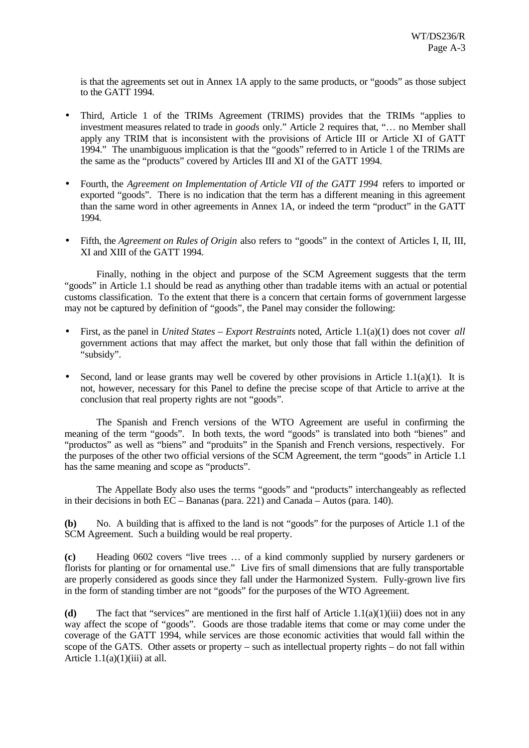is that the agreements set out in Annex 1A apply to the same products, or "goods" as those subject to the GATT 1994.

- Third, Article 1 of the TRIMs Agreement (TRIMS) provides that the TRIMs "applies to investment measures related to trade in *goods* only." Article 2 requires that, "… no Member shall apply any TRIM that is inconsistent with the provisions of Article III or Article XI of GATT 1994." The unambiguous implication is that the "goods" referred to in Article 1 of the TRIMs are the same as the "products" covered by Articles III and XI of the GATT 1994.
- Fourth, the *Agreement on Implementation of Article VII of the GATT 1994* refers to imported or exported "goods". There is no indication that the term has a different meaning in this agreement than the same word in other agreements in Annex 1A, or indeed the term "product" in the GATT 1994.
- Fifth, the *Agreement on Rules of Origin* also refers to "goods" in the context of Articles I, II, III, XI and XIII of the GATT 1994.

Finally, nothing in the object and purpose of the SCM Agreement suggests that the term "goods" in Article 1.1 should be read as anything other than tradable items with an actual or potential customs classification. To the extent that there is a concern that certain forms of government largesse may not be captured by definition of "goods", the Panel may consider the following:

- First, as the panel in *United States Export Restraints* noted, Article 1.1(a)(1) does not cover *all* government actions that may affect the market, but only those that fall within the definition of "subsidy".
- Second, land or lease grants may well be covered by other provisions in Article 1.1(a)(1). It is not, however, necessary for this Panel to define the precise scope of that Article to arrive at the conclusion that real property rights are not "goods".

The Spanish and French versions of the WTO Agreement are useful in confirming the meaning of the term "goods". In both texts, the word "goods" is translated into both "bienes" and "productos" as well as "biens" and "produits" in the Spanish and French versions, respectively. For the purposes of the other two official versions of the SCM Agreement, the term "goods" in Article 1.1 has the same meaning and scope as "products".

The Appellate Body also uses the terms "goods" and "products" interchangeably as reflected in their decisions in both EC – Bananas (para. 221) and Canada – Autos (para. 140).

**(b)** No. A building that is affixed to the land is not "goods" for the purposes of Article 1.1 of the SCM Agreement. Such a building would be real property.

**(c)** Heading 0602 covers "live trees … of a kind commonly supplied by nursery gardeners or florists for planting or for ornamental use." Live firs of small dimensions that are fully transportable are properly considered as goods since they fall under the Harmonized System. Fully-grown live firs in the form of standing timber are not "goods" for the purposes of the WTO Agreement.

**(d)** The fact that "services" are mentioned in the first half of Article 1.1(a)(1)(iii) does not in any way affect the scope of "goods". Goods are those tradable items that come or may come under the coverage of the GATT 1994, while services are those economic activities that would fall within the scope of the GATS. Other assets or property – such as intellectual property rights – do not fall within Article  $1.1(a)(1)(iii)$  at all.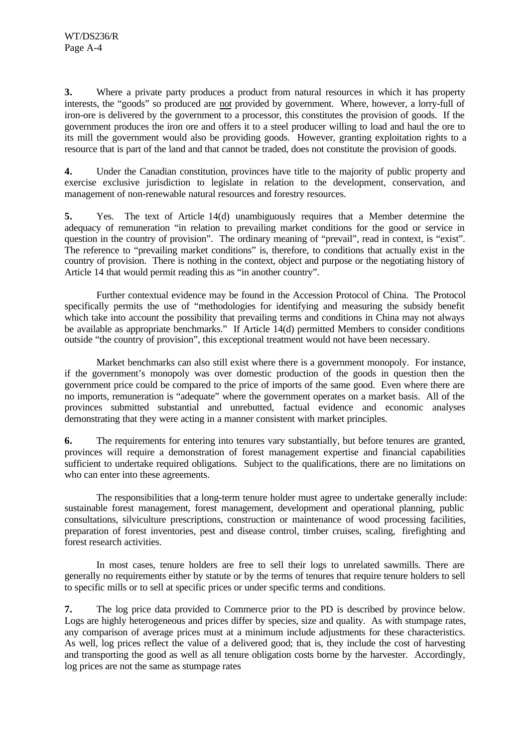**3.** Where a private party produces a product from natural resources in which it has property interests, the "goods" so produced are not provided by government. Where, however, a lorry-full of iron-ore is delivered by the government to a processor, this constitutes the provision of goods. If the government produces the iron ore and offers it to a steel producer willing to load and haul the ore to its mill the government would also be providing goods. However, granting exploitation rights to a resource that is part of the land and that cannot be traded, does not constitute the provision of goods.

**4.** Under the Canadian constitution, provinces have title to the majority of public property and exercise exclusive jurisdiction to legislate in relation to the development, conservation, and management of non-renewable natural resources and forestry resources.

**5.** Yes. The text of Article 14(d) unambiguously requires that a Member determine the adequacy of remuneration "in relation to prevailing market conditions for the good or service in question in the country of provision". The ordinary meaning of "prevail", read in context, is "exist". The reference to "prevailing market conditions" is, therefore, to conditions that actually exist in the country of provision. There is nothing in the context, object and purpose or the negotiating history of Article 14 that would permit reading this as "in another country".

Further contextual evidence may be found in the Accession Protocol of China. The Protocol specifically permits the use of "methodologies for identifying and measuring the subsidy benefit which take into account the possibility that prevailing terms and conditions in China may not always be available as appropriate benchmarks." If Article 14(d) permitted Members to consider conditions outside "the country of provision", this exceptional treatment would not have been necessary.

Market benchmarks can also still exist where there is a government monopoly. For instance, if the government's monopoly was over domestic production of the goods in question then the government price could be compared to the price of imports of the same good. Even where there are no imports, remuneration is "adequate" where the government operates on a market basis. All of the provinces submitted substantial and unrebutted, factual evidence and economic analyses demonstrating that they were acting in a manner consistent with market principles.

**6.** The requirements for entering into tenures vary substantially, but before tenures are granted, provinces will require a demonstration of forest management expertise and financial capabilities sufficient to undertake required obligations. Subject to the qualifications, there are no limitations on who can enter into these agreements.

The responsibilities that a long-term tenure holder must agree to undertake generally include: sustainable forest management, forest management, development and operational planning, public consultations, silviculture prescriptions, construction or maintenance of wood processing facilities, preparation of forest inventories, pest and disease control, timber cruises, scaling, firefighting and forest research activities.

In most cases, tenure holders are free to sell their logs to unrelated sawmills. There are generally no requirements either by statute or by the terms of tenures that require tenure holders to sell to specific mills or to sell at specific prices or under specific terms and conditions.

**7.** The log price data provided to Commerce prior to the PD is described by province below. Logs are highly heterogeneous and prices differ by species, size and quality. As with stumpage rates, any comparison of average prices must at a minimum include adjustments for these characteristics. As well, log prices reflect the value of a delivered good; that is, they include the cost of harvesting and transporting the good as well as all tenure obligation costs borne by the harvester. Accordingly, log prices are not the same as stumpage rates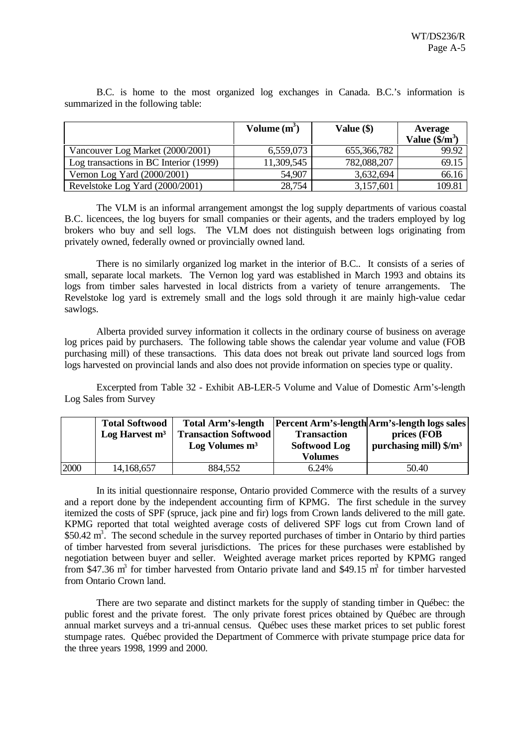|                                        | Volume $(m^3)$ | Value $(\$)$ | Average               |
|----------------------------------------|----------------|--------------|-----------------------|
|                                        |                |              | Value $(\frac{2}{3})$ |
| Vancouver Log Market (2000/2001)       | 6,559,073      | 655,366,782  | 99.92                 |
| Log transactions in BC Interior (1999) | 11,309,545     | 782,088,207  | 69.15                 |
| Vernon Log Yard (2000/2001)            | 54,907         | 3,632,694    | 66.16                 |
| Revelstoke Log Yard (2000/2001)        | 28,754         | 3,157,601    | 109.81                |

B.C. is home to the most organized log exchanges in Canada. B.C.'s information is summarized in the following table:

The VLM is an informal arrangement amongst the log supply departments of various coastal B.C. licencees, the log buyers for small companies or their agents, and the traders employed by log brokers who buy and sell logs. The VLM does not distinguish between logs originating from privately owned, federally owned or provincially owned land.

There is no similarly organized log market in the interior of B.C.. It consists of a series of small, separate local markets. The Vernon log yard was established in March 1993 and obtains its logs from timber sales harvested in local districts from a variety of tenure arrangements. The Revelstoke log yard is extremely small and the logs sold through it are mainly high-value cedar sawlogs.

Alberta provided survey information it collects in the ordinary course of business on average log prices paid by purchasers. The following table shows the calendar year volume and value (FOB purchasing mill) of these transactions. This data does not break out private land sourced logs from logs harvested on provincial lands and also does not provide information on species type or quality.

Excerpted from Table 32 - Exhibit AB-LER-5 Volume and Value of Domestic Arm's-length Log Sales from Survey

|      | <b>Total Softwood</b><br>Log Harvest $m3$ | <b>Total Arm's-length</b><br><b>Transaction Softwood</b><br>$Log$ Volumes $m3$ | <b>Transaction</b><br><b>Softwood Log</b><br><b>Volumes</b> | <b>Percent Arm's-length Arm's-length logs sales</b><br>prices (FOB<br>purchasing mill) $\gamma/m^3$ |
|------|-------------------------------------------|--------------------------------------------------------------------------------|-------------------------------------------------------------|-----------------------------------------------------------------------------------------------------|
| 2000 | 14,168,657                                | 884,552                                                                        | 6.24%                                                       | 50.40                                                                                               |

In its initial questionnaire response, Ontario provided Commerce with the results of a survey and a report done by the independent accounting firm of KPMG. The first schedule in the survey itemized the costs of SPF (spruce, jack pine and fir) logs from Crown lands delivered to the mill gate. KPMG reported that total weighted average costs of delivered SPF logs cut from Crown land of \$50.42  $\text{m}^3$ . The second schedule in the survey reported purchases of timber in Ontario by third parties of timber harvested from several jurisdictions. The prices for these purchases were established by negotiation between buyer and seller. Weighted average market prices reported by KPMG ranged from \$47.36  $m^3$  for timber harvested from Ontario private land and \$49.15  $m^3$  for timber harvested from Ontario Crown land.

There are two separate and distinct markets for the supply of standing timber in Québec: the public forest and the private forest. The only private forest prices obtained by Québec are through annual market surveys and a tri-annual census. Québec uses these market prices to set public forest stumpage rates. Québec provided the Department of Commerce with private stumpage price data for the three years 1998, 1999 and 2000.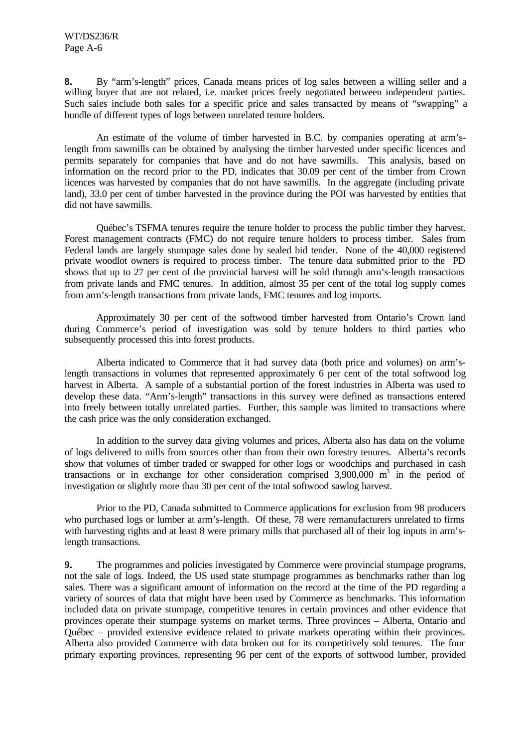**8.** By "arm's-length" prices, Canada means prices of log sales between a willing seller and a willing buyer that are not related, i.e. market prices freely negotiated between independent parties. Such sales include both sales for a specific price and sales transacted by means of "swapping" a bundle of different types of logs between unrelated tenure holders.

An estimate of the volume of timber harvested in B.C. by companies operating at arm'slength from sawmills can be obtained by analysing the timber harvested under specific licences and permits separately for companies that have and do not have sawmills. This analysis, based on information on the record prior to the PD, indicates that 30.09 per cent of the timber from Crown licences was harvested by companies that do not have sawmills. In the aggregate (including private land), 33.0 per cent of timber harvested in the province during the POI was harvested by entities that did not have sawmills.

Québec's TSFMA tenures require the tenure holder to process the public timber they harvest. Forest management contracts (FMC) do not require tenure holders to process timber. Sales from Federal lands are largely stumpage sales done by sealed bid tender. None of the 40,000 registered private woodlot owners is required to process timber. The tenure data submitted prior to the PD shows that up to 27 per cent of the provincial harvest will be sold through arm's-length transactions from private lands and FMC tenures. In addition, almost 35 per cent of the total log supply comes from arm's-length transactions from private lands, FMC tenures and log imports.

Approximately 30 per cent of the softwood timber harvested from Ontario's Crown land during Commerce's period of investigation was sold by tenure holders to third parties who subsequently processed this into forest products.

Alberta indicated to Commerce that it had survey data (both price and volumes) on arm'slength transactions in volumes that represented approximately 6 per cent of the total softwood log harvest in Alberta. A sample of a substantial portion of the forest industries in Alberta was used to develop these data. "Arm's-length" transactions in this survey were defined as transactions entered into freely between totally unrelated parties. Further, this sample was limited to transactions where the cash price was the only consideration exchanged.

In addition to the survey data giving volumes and prices, Alberta also has data on the volume of logs delivered to mills from sources other than from their own forestry tenures. Alberta's records show that volumes of timber traded or swapped for other logs or woodchips and purchased in cash transactions or in exchange for other consideration comprised  $3,900,000$  m<sup>3</sup> in the period of investigation or slightly more than 30 per cent of the total softwood sawlog harvest.

Prior to the PD, Canada submitted to Commerce applications for exclusion from 98 producers who purchased logs or lumber at arm's-length. Of these, 78 were remanufacturers unrelated to firms with harvesting rights and at least 8 were primary mills that purchased all of their log inputs in arm'slength transactions.

**9.** The programmes and policies investigated by Commerce were provincial stumpage programs, not the sale of logs. Indeed, the US used state stumpage programmes as benchmarks rather than log sales. There was a significant amount of information on the record at the time of the PD regarding a variety of sources of data that might have been used by Commerce as benchmarks. This information included data on private stumpage, competitive tenures in certain provinces and other evidence that provinces operate their stumpage systems on market terms. Three provinces – Alberta, Ontario and Québec – provided extensive evidence related to private markets operating within their provinces. Alberta also provided Commerce with data broken out for its competitively sold tenures. The four primary exporting provinces, representing 96 per cent of the exports of softwood lumber, provided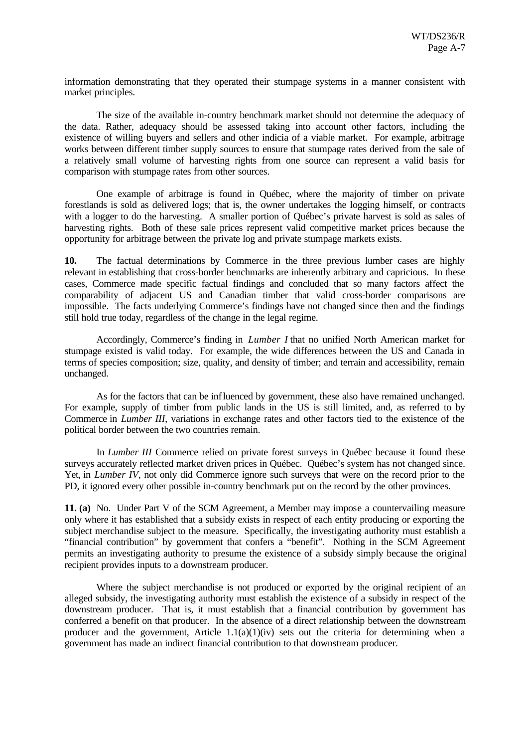information demonstrating that they operated their stumpage systems in a manner consistent with market principles.

The size of the available in-country benchmark market should not determine the adequacy of the data. Rather, adequacy should be assessed taking into account other factors, including the existence of willing buyers and sellers and other indicia of a viable market. For example, arbitrage works between different timber supply sources to ensure that stumpage rates derived from the sale of a relatively small volume of harvesting rights from one source can represent a valid basis for comparison with stumpage rates from other sources.

One example of arbitrage is found in Québec, where the majority of timber on private forestlands is sold as delivered logs; that is, the owner undertakes the logging himself, or contracts with a logger to do the harvesting. A smaller portion of Québec's private harvest is sold as sales of harvesting rights. Both of these sale prices represent valid competitive market prices because the opportunity for arbitrage between the private log and private stumpage markets exists.

**10.** The factual determinations by Commerce in the three previous lumber cases are highly relevant in establishing that cross-border benchmarks are inherently arbitrary and capricious. In these cases, Commerce made specific factual findings and concluded that so many factors affect the comparability of adjacent US and Canadian timber that valid cross-border comparisons are impossible. The facts underlying Commerce's findings have not changed since then and the findings still hold true today, regardless of the change in the legal regime.

Accordingly, Commerce's finding in *Lumber I* that no unified North American market for stumpage existed is valid today. For example, the wide differences between the US and Canada in terms of species composition; size, quality, and density of timber; and terrain and accessibility, remain unchanged.

As for the factors that can be influenced by government, these also have remained unchanged. For example, supply of timber from public lands in the US is still limited, and, as referred to by Commerce in *Lumber III*, variations in exchange rates and other factors tied to the existence of the political border between the two countries remain.

In *Lumber III* Commerce relied on private forest surveys in Québec because it found these surveys accurately reflected market driven prices in Québec. Québec's system has not changed since. Yet, in *Lumber IV*, not only did Commerce ignore such surveys that were on the record prior to the PD, it ignored every other possible in-country benchmark put on the record by the other provinces.

**11. (a)** No. Under Part V of the SCM Agreement, a Member may impose a countervailing measure only where it has established that a subsidy exists in respect of each entity producing or exporting the subject merchandise subject to the measure. Specifically, the investigating authority must establish a "financial contribution" by government that confers a "benefit". Nothing in the SCM Agreement permits an investigating authority to presume the existence of a subsidy simply because the original recipient provides inputs to a downstream producer.

Where the subject merchandise is not produced or exported by the original recipient of an alleged subsidy, the investigating authority must establish the existence of a subsidy in respect of the downstream producer. That is, it must establish that a financial contribution by government has conferred a benefit on that producer. In the absence of a direct relationship between the downstream producer and the government, Article  $1.1(a)(1)(iv)$  sets out the criteria for determining when a government has made an indirect financial contribution to that downstream producer.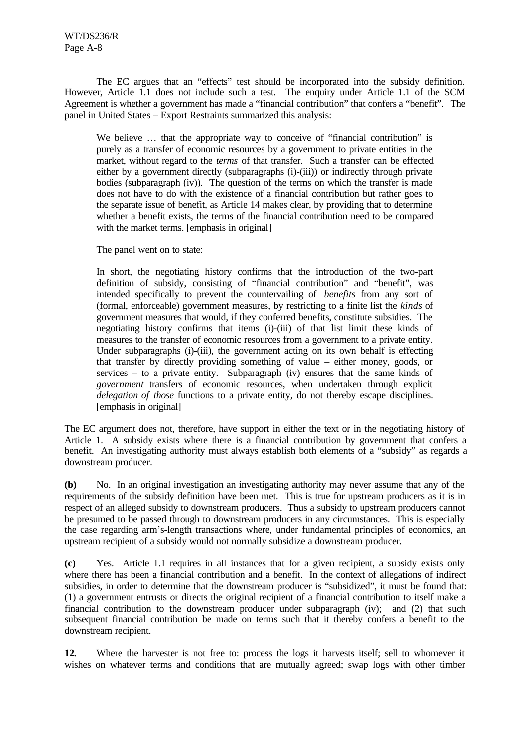The EC argues that an "effects" test should be incorporated into the subsidy definition. However, Article 1.1 does not include such a test. The enquiry under Article 1.1 of the SCM Agreement is whether a government has made a "financial contribution" that confers a "benefit".The panel in United States – Export Restraints summarized this analysis:

We believe ... that the appropriate way to conceive of "financial contribution" is purely as a transfer of economic resources by a government to private entities in the market, without regard to the *terms* of that transfer. Such a transfer can be effected either by a government directly (subparagraphs (i)-(iii)) or indirectly through private bodies (subparagraph (iv)). The question of the terms on which the transfer is made does not have to do with the existence of a financial contribution but rather goes to the separate issue of benefit, as Article 14 makes clear, by providing that to determine whether a benefit exists, the terms of the financial contribution need to be compared with the market terms. [emphasis in original]

The panel went on to state:

In short, the negotiating history confirms that the introduction of the two-part definition of subsidy, consisting of "financial contribution" and "benefit", was intended specifically to prevent the countervailing of *benefits* from any sort of (formal, enforceable) government measures, by restricting to a finite list the *kinds* of government measures that would, if they conferred benefits, constitute subsidies. The negotiating history confirms that items (i)-(iii) of that list limit these kinds of measures to the transfer of economic resources from a government to a private entity. Under subparagraphs (i)-(iii), the government acting on its own behalf is effecting that transfer by directly providing something of value – either money, goods, or services  $-$  to a private entity. Subparagraph (iv) ensures that the same kinds of *government* transfers of economic resources, when undertaken through explicit *delegation of those* functions to a private entity, do not thereby escape disciplines. [emphasis in original]

The EC argument does not, therefore, have support in either the text or in the negotiating history of Article 1. A subsidy exists where there is a financial contribution by government that confers a benefit. An investigating authority must always establish both elements of a "subsidy" as regards a downstream producer.

**(b)** No. In an original investigation an investigating authority may never assume that any of the requirements of the subsidy definition have been met. This is true for upstream producers as it is in respect of an alleged subsidy to downstream producers. Thus a subsidy to upstream producers cannot be presumed to be passed through to downstream producers in any circumstances. This is especially the case regarding arm's-length transactions where, under fundamental principles of economics, an upstream recipient of a subsidy would not normally subsidize a downstream producer.

**(c)** Yes. Article 1.1 requires in all instances that for a given recipient, a subsidy exists only where there has been a financial contribution and a benefit. In the context of allegations of indirect subsidies, in order to determine that the downstream producer is "subsidized", it must be found that: (1) a government entrusts or directs the original recipient of a financial contribution to itself make a financial contribution to the downstream producer under subparagraph (iv); and (2) that such subsequent financial contribution be made on terms such that it thereby confers a benefit to the downstream recipient.

**12.** Where the harvester is not free to: process the logs it harvests itself; sell to whomever it wishes on whatever terms and conditions that are mutually agreed; swap logs with other timber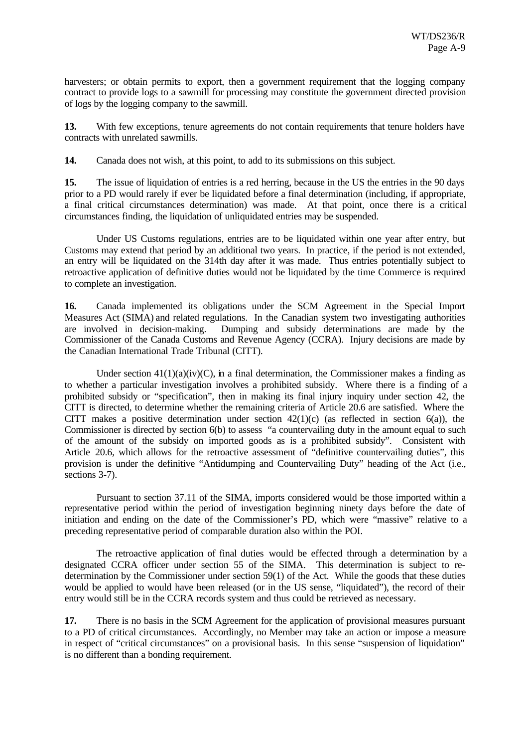harvesters; or obtain permits to export, then a government requirement that the logging company contract to provide logs to a sawmill for processing may constitute the government directed provision of logs by the logging company to the sawmill.

**13.** With few exceptions, tenure agreements do not contain requirements that tenure holders have contracts with unrelated sawmills.

**14.** Canada does not wish, at this point, to add to its submissions on this subject.

**15.** The issue of liquidation of entries is a red herring, because in the US the entries in the 90 days prior to a PD would rarely if ever be liquidated before a final determination (including, if appropriate, a final critical circumstances determination) was made. At that point, once there is a critical circumstances finding, the liquidation of unliquidated entries may be suspended.

Under US Customs regulations, entries are to be liquidated within one year after entry, but Customs may extend that period by an additional two years. In practice, if the period is not extended, an entry will be liquidated on the 314th day after it was made. Thus entries potentially subject to retroactive application of definitive duties would not be liquidated by the time Commerce is required to complete an investigation.

**16.** Canada implemented its obligations under the SCM Agreement in the Special Import Measures Act (SIMA) and related regulations. In the Canadian system two investigating authorities are involved in decision-making. Dumping and subsidy determinations are made by the Commissioner of the Canada Customs and Revenue Agency (CCRA). Injury decisions are made by the Canadian International Trade Tribunal (CITT).

Under section  $41(1)(a)(iv)(C)$ , in a final determination, the Commissioner makes a finding as to whether a particular investigation involves a prohibited subsidy. Where there is a finding of a prohibited subsidy or "specification", then in making its final injury inquiry under section 42, the CITT is directed, to determine whether the remaining criteria of Article 20.6 are satisfied. Where the CITT makes a positive determination under section  $42(1)(c)$  (as reflected in section  $6(a)$ ), the Commissioner is directed by section 6(b) to assess "a countervailing duty in the amount equal to such of the amount of the subsidy on imported goods as is a prohibited subsidy". Consistent with Article 20.6, which allows for the retroactive assessment of "definitive countervailing duties", this provision is under the definitive "Antidumping and Countervailing Duty" heading of the Act (i.e., sections 3-7).

Pursuant to section 37.11 of the SIMA, imports considered would be those imported within a representative period within the period of investigation beginning ninety days before the date of initiation and ending on the date of the Commissioner's PD, which were "massive" relative to a preceding representative period of comparable duration also within the POI.

The retroactive application of final duties would be effected through a determination by a designated CCRA officer under section 55 of the SIMA. This determination is subject to redetermination by the Commissioner under section 59(1) of the Act. While the goods that these duties would be applied to would have been released (or in the US sense, "liquidated"), the record of their entry would still be in the CCRA records system and thus could be retrieved as necessary.

**17.** There is no basis in the SCM Agreement for the application of provisional measures pursuant to a PD of critical circumstances. Accordingly, no Member may take an action or impose a measure in respect of "critical circumstances" on a provisional basis. In this sense "suspension of liquidation" is no different than a bonding requirement.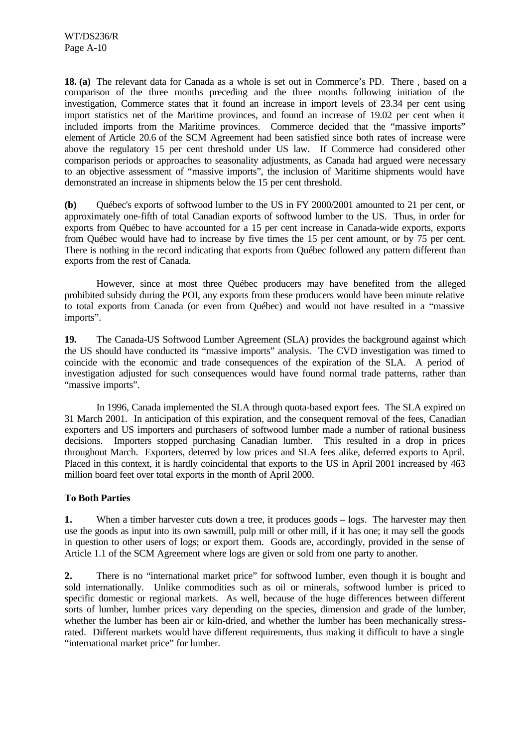**18. (a)** The relevant data for Canada as a whole is set out in Commerce's PD. There , based on a comparison of the three months preceding and the three months following initiation of the investigation, Commerce states that it found an increase in import levels of 23.34 per cent using import statistics net of the Maritime provinces, and found an increase of 19.02 per cent when it included imports from the Maritime provinces. Commerce decided that the "massive imports" element of Article 20.6 of the SCM Agreement had been satisfied since both rates of increase were above the regulatory 15 per cent threshold under US law. If Commerce had considered other comparison periods or approaches to seasonality adjustments, as Canada had argued were necessary to an objective assessment of "massive imports", the inclusion of Maritime shipments would have demonstrated an increase in shipments below the 15 per cent threshold.

**(b)** Québec's exports of softwood lumber to the US in FY 2000/2001 amounted to 21 per cent, or approximately one-fifth of total Canadian exports of softwood lumber to the US. Thus, in order for exports from Québec to have accounted for a 15 per cent increase in Canada-wide exports, exports from Québec would have had to increase by five times the 15 per cent amount, or by 75 per cent. There is nothing in the record indicating that exports from Québec followed any pattern different than exports from the rest of Canada.

However, since at most three Québec producers may have benefited from the alleged prohibited subsidy during the POI, any exports from these producers would have been minute relative to total exports from Canada (or even from Québec) and would not have resulted in a "massive imports".

**19.** The Canada-US Softwood Lumber Agreement (SLA) provides the background against which the US should have conducted its "massive imports" analysis. The CVD investigation was timed to coincide with the economic and trade consequences of the expiration of the SLA. A period of investigation adjusted for such consequences would have found normal trade patterns, rather than "massive imports".

In 1996, Canada implemented the SLA through quota-based export fees. The SLA expired on 31 March 2001. In anticipation of this expiration, and the consequent removal of the fees, Canadian exporters and US importers and purchasers of softwood lumber made a number of rational business decisions. Importers stopped purchasing Canadian lumber. This resulted in a drop in prices throughout March. Exporters, deterred by low prices and SLA fees alike, deferred exports to April. Placed in this context, it is hardly coincidental that exports to the US in April 2001 increased by 463 million board feet over total exports in the month of April 2000.

### **To Both Parties**

**1.** When a timber harvester cuts down a tree, it produces goods – logs. The harvester may then use the goods as input into its own sawmill, pulp mill or other mill, if it has one; it may sell the goods in question to other users of logs; or export them. Goods are, accordingly, provided in the sense of Article 1.1 of the SCM Agreement where logs are given or sold from one party to another.

**2.** There is no "international market price" for softwood lumber, even though it is bought and sold internationally. Unlike commodities such as oil or minerals, softwood lumber is priced to specific domestic or regional markets. As well, because of the huge differences between different sorts of lumber, lumber prices vary depending on the species, dimension and grade of the lumber, whether the lumber has been air or kiln-dried, and whether the lumber has been mechanically stressrated. Different markets would have different requirements, thus making it difficult to have a single "international market price" for lumber.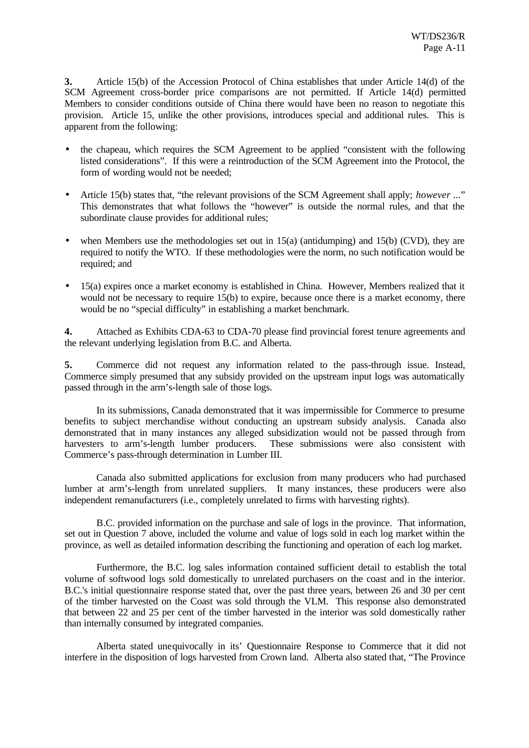**3.** Article 15(b) of the Accession Protocol of China establishes that under Article 14(d) of the SCM Agreement cross-border price comparisons are not permitted. If Article 14(d) permitted Members to consider conditions outside of China there would have been no reason to negotiate this provision. Article 15, unlike the other provisions, introduces special and additional rules. This is apparent from the following:

- the chapeau, which requires the SCM Agreement to be applied "consistent with the following listed considerations". If this were a reintroduction of the SCM Agreement into the Protocol, the form of wording would not be needed;
- Article 15(b) states that, "the relevant provisions of the SCM Agreement shall apply; *however* ..." This demonstrates that what follows the "however" is outside the normal rules, and that the subordinate clause provides for additional rules;
- when Members use the methodologies set out in  $15(a)$  (antidumping) and  $15(b)$  (CVD), they are required to notify the WTO. If these methodologies were the norm, no such notification would be required; and
- 15(a) expires once a market economy is established in China. However, Members realized that it would not be necessary to require 15(b) to expire, because once there is a market economy, there would be no "special difficulty" in establishing a market benchmark.

**4.** Attached as Exhibits CDA-63 to CDA-70 please find provincial forest tenure agreements and the relevant underlying legislation from B.C. and Alberta.

**5.** Commerce did not request any information related to the pass-through issue. Instead, Commerce simply presumed that any subsidy provided on the upstream input logs was automatically passed through in the arm's-length sale of those logs.

In its submissions, Canada demonstrated that it was impermissible for Commerce to presume benefits to subject merchandise without conducting an upstream subsidy analysis. Canada also demonstrated that in many instances any alleged subsidization would not be passed through from harvesters to arm's-length lumber producers. These submissions were also consistent with Commerce's pass-through determination in Lumber III.

Canada also submitted applications for exclusion from many producers who had purchased lumber at arm's-length from unrelated suppliers. It many instances, these producers were also independent remanufacturers (i.e., completely unrelated to firms with harvesting rights).

B.C. provided information on the purchase and sale of logs in the province. That information, set out in Question 7 above, included the volume and value of logs sold in each log market within the province, as well as detailed information describing the functioning and operation of each log market.

Furthermore, the B.C. log sales information contained sufficient detail to establish the total volume of softwood logs sold domestically to unrelated purchasers on the coast and in the interior. B.C.'s initial questionnaire response stated that, over the past three years, between 26 and 30 per cent of the timber harvested on the Coast was sold through the VLM. This response also demonstrated that between 22 and 25 per cent of the timber harvested in the interior was sold domestically rather than internally consumed by integrated companies.

Alberta stated unequivocally in its' Questionnaire Response to Commerce that it did not interfere in the disposition of logs harvested from Crown land. Alberta also stated that, "The Province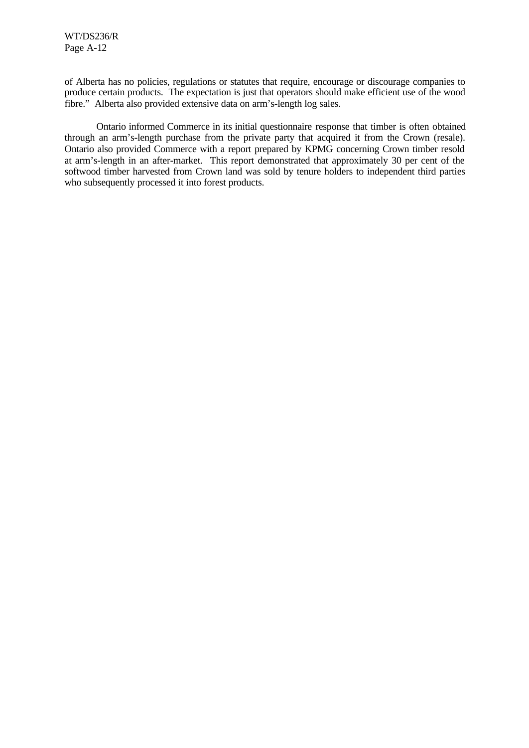of Alberta has no policies, regulations or statutes that require, encourage or discourage companies to produce certain products. The expectation is just that operators should make efficient use of the wood fibre." Alberta also provided extensive data on arm's-length log sales.

Ontario informed Commerce in its initial questionnaire response that timber is often obtained through an arm's-length purchase from the private party that acquired it from the Crown (resale). Ontario also provided Commerce with a report prepared by KPMG concerning Crown timber resold at arm's-length in an after-market. This report demonstrated that approximately 30 per cent of the softwood timber harvested from Crown land was sold by tenure holders to independent third parties who subsequently processed it into forest products.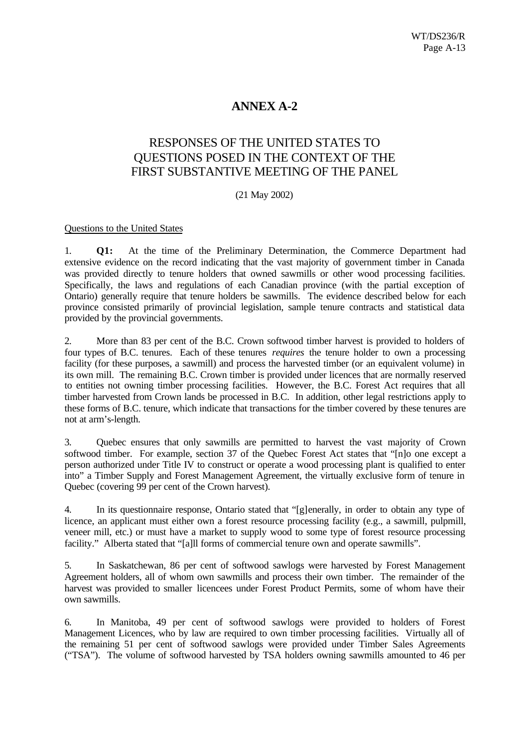# **ANNEX A-2**

# RESPONSES OF THE UNITED STATES TO QUESTIONS POSED IN THE CONTEXT OF THE FIRST SUBSTANTIVE MEETING OF THE PANEL

### (21 May 2002)

#### Questions to the United States

1. **Q1:** At the time of the Preliminary Determination, the Commerce Department had extensive evidence on the record indicating that the vast majority of government timber in Canada was provided directly to tenure holders that owned sawmills or other wood processing facilities. Specifically, the laws and regulations of each Canadian province (with the partial exception of Ontario) generally require that tenure holders be sawmills. The evidence described below for each province consisted primarily of provincial legislation, sample tenure contracts and statistical data provided by the provincial governments.

2. More than 83 per cent of the B.C. Crown softwood timber harvest is provided to holders of four types of B.C. tenures. Each of these tenures *requires* the tenure holder to own a processing facility (for these purposes, a sawmill) and process the harvested timber (or an equivalent volume) in its own mill. The remaining B.C. Crown timber is provided under licences that are normally reserved to entities not owning timber processing facilities. However, the B.C. Forest Act requires that all timber harvested from Crown lands be processed in B.C. In addition, other legal restrictions apply to these forms of B.C. tenure, which indicate that transactions for the timber covered by these tenures are not at arm's-length.

3. Quebec ensures that only sawmills are permitted to harvest the vast majority of Crown softwood timber. For example, section 37 of the Quebec Forest Act states that "[n]o one except a person authorized under Title IV to construct or operate a wood processing plant is qualified to enter into" a Timber Supply and Forest Management Agreement, the virtually exclusive form of tenure in Quebec (covering 99 per cent of the Crown harvest).

4. In its questionnaire response, Ontario stated that "[g]enerally, in order to obtain any type of licence, an applicant must either own a forest resource processing facility (e.g., a sawmill, pulpmill, veneer mill, etc.) or must have a market to supply wood to some type of forest resource processing facility." Alberta stated that "[a]ll forms of commercial tenure own and operate sawmills".

5. In Saskatchewan, 86 per cent of softwood sawlogs were harvested by Forest Management Agreement holders, all of whom own sawmills and process their own timber. The remainder of the harvest was provided to smaller licencees under Forest Product Permits, some of whom have their own sawmills.

6. In Manitoba, 49 per cent of softwood sawlogs were provided to holders of Forest Management Licences, who by law are required to own timber processing facilities. Virtually all of the remaining 51 per cent of softwood sawlogs were provided under Timber Sales Agreements ("TSA"). The volume of softwood harvested by TSA holders owning sawmills amounted to 46 per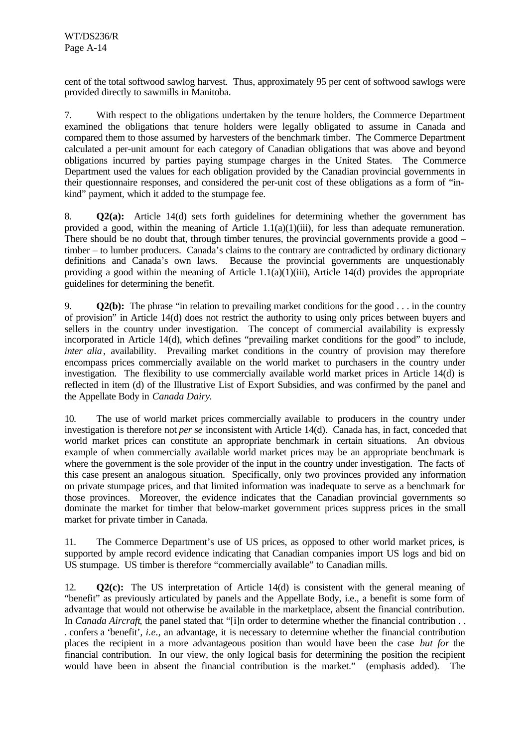cent of the total softwood sawlog harvest. Thus, approximately 95 per cent of softwood sawlogs were provided directly to sawmills in Manitoba.

7. With respect to the obligations undertaken by the tenure holders, the Commerce Department examined the obligations that tenure holders were legally obligated to assume in Canada and compared them to those assumed by harvesters of the benchmark timber. The Commerce Department calculated a per-unit amount for each category of Canadian obligations that was above and beyond obligations incurred by parties paying stumpage charges in the United States. The Commerce Department used the values for each obligation provided by the Canadian provincial governments in their questionnaire responses, and considered the per-unit cost of these obligations as a form of "inkind" payment, which it added to the stumpage fee.

8. **Q2(a):** Article 14(d) sets forth guidelines for determining whether the government has provided a good, within the meaning of Article 1.1(a)(1)(iii), for less than adequate remuneration. There should be no doubt that, through timber tenures, the provincial governments provide a good – timber – to lumber producers. Canada's claims to the contrary are contradicted by ordinary dictionary definitions and Canada's own laws. Because the provincial governments are unquestionably providing a good within the meaning of Article  $1.1(a)(1)(iii)$ , Article  $14(d)$  provides the appropriate guidelines for determining the benefit.

9. **Q2(b):** The phrase "in relation to prevailing market conditions for the good . . . in the country of provision" in Article 14(d) does not restrict the authority to using only prices between buyers and sellers in the country under investigation. The concept of commercial availability is expressly incorporated in Article 14(d), which defines "prevailing market conditions for the good" to include, *inter alia*, availability. Prevailing market conditions in the country of provision may therefore encompass prices commercially available on the world market to purchasers in the country under investigation. The flexibility to use commercially available world market prices in Article 14(d) is reflected in item (d) of the Illustrative List of Export Subsidies, and was confirmed by the panel and the Appellate Body in *Canada Dairy.*

10. The use of world market prices commercially available to producers in the country under investigation is therefore not *per se* inconsistent with Article 14(d). Canada has, in fact, conceded that world market prices can constitute an appropriate benchmark in certain situations. An obvious example of when commercially available world market prices may be an appropriate benchmark is where the government is the sole provider of the input in the country under investigation. The facts of this case present an analogous situation. Specifically, only two provinces provided any information on private stumpage prices, and that limited information was inadequate to serve as a benchmark for those provinces. Moreover, the evidence indicates that the Canadian provincial governments so dominate the market for timber that below-market government prices suppress prices in the small market for private timber in Canada.

11. The Commerce Department's use of US prices, as opposed to other world market prices, is supported by ample record evidence indicating that Canadian companies import US logs and bid on US stumpage. US timber is therefore "commercially available" to Canadian mills.

12. **Q2(c):** The US interpretation of Article 14(d) is consistent with the general meaning of "benefit" as previously articulated by panels and the Appellate Body, i.e., a benefit is some form of advantage that would not otherwise be available in the marketplace, absent the financial contribution. In *Canada Aircraft*, the panel stated that "[i]n order to determine whether the financial contribution . . . confers a 'benefit', *i.e.*, an advantage, it is necessary to determine whether the financial contribution places the recipient in a more advantageous position than would have been the case *but for* the financial contribution. In our view, the only logical basis for determining the position the recipient would have been in absent the financial contribution is the market." (emphasis added). The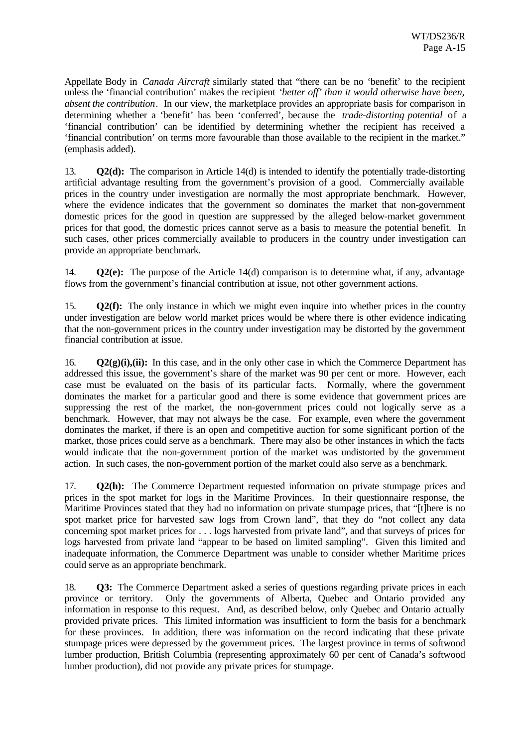Appellate Body in *Canada Aircraft* similarly stated that "there can be no 'benefit' to the recipient unless the 'financial contribution' makes the recipient *'better off' than it would otherwise have been, absent the contribution*. In our view, the marketplace provides an appropriate basis for comparison in determining whether a 'benefit' has been 'conferred', because the *trade-distorting potential* of a 'financial contribution' can be identified by determining whether the recipient has received a 'financial contribution' on terms more favourable than those available to the recipient in the market." (emphasis added).

13. **Q2(d):** The comparison in Article 14(d) is intended to identify the potentially trade-distorting artificial advantage resulting from the government's provision of a good. Commercially available prices in the country under investigation are normally the most appropriate benchmark. However, where the evidence indicates that the government so dominates the market that non-government domestic prices for the good in question are suppressed by the alleged below-market government prices for that good, the domestic prices cannot serve as a basis to measure the potential benefit. In such cases, other prices commercially available to producers in the country under investigation can provide an appropriate benchmark.

14. **Q2(e):** The purpose of the Article 14(d) comparison is to determine what, if any, advantage flows from the government's financial contribution at issue, not other government actions.

15. **Q2(f):** The only instance in which we might even inquire into whether prices in the country under investigation are below world market prices would be where there is other evidence indicating that the non-government prices in the country under investigation may be distorted by the government financial contribution at issue.

16. **Q2(g)(i),(ii):** In this case, and in the only other case in which the Commerce Department has addressed this issue, the government's share of the market was 90 per cent or more. However, each case must be evaluated on the basis of its particular facts. Normally, where the government dominates the market for a particular good and there is some evidence that government prices are suppressing the rest of the market, the non-government prices could not logically serve as a benchmark. However, that may not always be the case. For example, even where the government dominates the market, if there is an open and competitive auction for some significant portion of the market, those prices could serve as a benchmark. There may also be other instances in which the facts would indicate that the non-government portion of the market was undistorted by the government action. In such cases, the non-government portion of the market could also serve as a benchmark.

17. **Q2(h):** The Commerce Department requested information on private stumpage prices and prices in the spot market for logs in the Maritime Provinces. In their questionnaire response, the Maritime Provinces stated that they had no information on private stumpage prices, that "[t]here is no spot market price for harvested saw logs from Crown land", that they do "not collect any data concerning spot market prices for . . . logs harvested from private land", and that surveys of prices for logs harvested from private land "appear to be based on limited sampling". Given this limited and inadequate information, the Commerce Department was unable to consider whether Maritime prices could serve as an appropriate benchmark.

18. **Q3:** The Commerce Department asked a series of questions regarding private prices in each province or territory. Only the governments of Alberta, Quebec and Ontario provided any information in response to this request. And, as described below, only Quebec and Ontario actually provided private prices. This limited information was insufficient to form the basis for a benchmark for these provinces. In addition, there was information on the record indicating that these private stumpage prices were depressed by the government prices. The largest province in terms of softwood lumber production, British Columbia (representing approximately 60 per cent of Canada's softwood lumber production), did not provide any private prices for stumpage.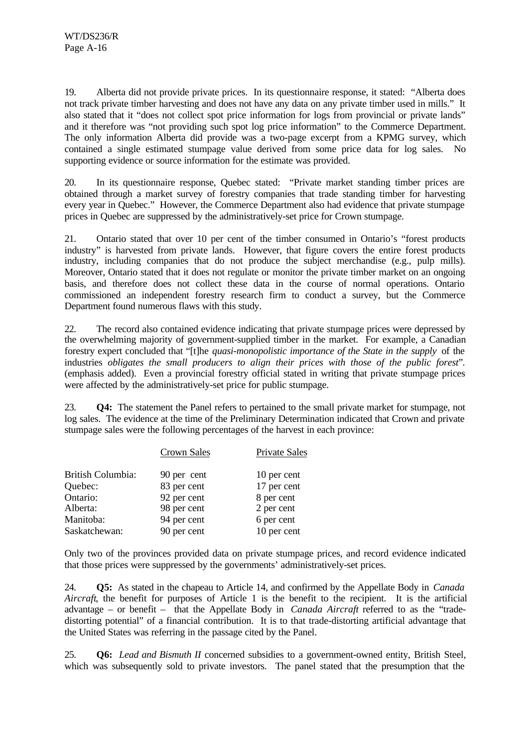19. Alberta did not provide private prices. In its questionnaire response, it stated: "Alberta does not track private timber harvesting and does not have any data on any private timber used in mills." It also stated that it "does not collect spot price information for logs from provincial or private lands" and it therefore was "not providing such spot log price information" to the Commerce Department. The only information Alberta did provide was a two-page excerpt from a KPMG survey, which contained a single estimated stumpage value derived from some price data for log sales. No supporting evidence or source information for the estimate was provided.

20. In its questionnaire response, Quebec stated: "Private market standing timber prices are obtained through a market survey of forestry companies that trade standing timber for harvesting every year in Quebec." However, the Commerce Department also had evidence that private stumpage prices in Quebec are suppressed by the administratively-set price for Crown stumpage.

21. Ontario stated that over 10 per cent of the timber consumed in Ontario's "forest products industry" is harvested from private lands. However, that figure covers the entire forest products industry, including companies that do not produce the subject merchandise (e.g., pulp mills). Moreover, Ontario stated that it does not regulate or monitor the private timber market on an ongoing basis, and therefore does not collect these data in the course of normal operations. Ontario commissioned an independent forestry research firm to conduct a survey, but the Commerce Department found numerous flaws with this study.

22. The record also contained evidence indicating that private stumpage prices were depressed by the overwhelming majority of government-supplied timber in the market. For example, a Canadian forestry expert concluded that "[t]he *quasi-monopolistic importance of the State in the supply* of the industries *obligates the small producers to align their prices with those of the public forest*". (emphasis added). Even a provincial forestry official stated in writing that private stumpage prices were affected by the administratively-set price for public stumpage.

23. **Q4:** The statement the Panel refers to pertained to the small private market for stumpage, not log sales. The evidence at the time of the Preliminary Determination indicated that Crown and private stumpage sales were the following percentages of the harvest in each province:

|                   | <b>Crown Sales</b> | <b>Private Sales</b> |
|-------------------|--------------------|----------------------|
| British Columbia: | 90 per cent        | 10 per cent          |
| Quebec:           | 83 per cent        | 17 per cent          |
| Ontario:          | 92 per cent        | 8 per cent           |
| Alberta:          | 98 per cent        | 2 per cent           |
| Manitoba:         | 94 per cent        | 6 per cent           |
| Saskatchewan:     | 90 per cent        | 10 per cent          |

Only two of the provinces provided data on private stumpage prices, and record evidence indicated that those prices were suppressed by the governments' administratively-set prices.

24. **Q5:** As stated in the chapeau to Article 14, and confirmed by the Appellate Body in *Canada Aircraft*, the benefit for purposes of Article 1 is the benefit to the recipient. It is the artificial advantage – or benefit – that the Appellate Body in *Canada Aircraft* referred to as the "tradedistorting potential" of a financial contribution. It is to that trade-distorting artificial advantage that the United States was referring in the passage cited by the Panel.

25. **Q6:** *Lead and Bismuth II* concerned subsidies to a government-owned entity, British Steel, which was subsequently sold to private investors. The panel stated that the presumption that the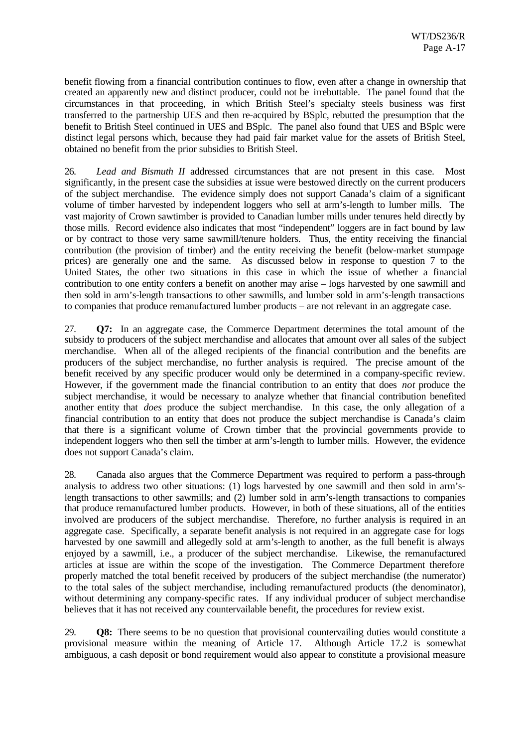benefit flowing from a financial contribution continues to flow, even after a change in ownership that created an apparently new and distinct producer, could not be irrebuttable. The panel found that the circumstances in that proceeding, in which British Steel's specialty steels business was first transferred to the partnership UES and then re-acquired by BSplc, rebutted the presumption that the benefit to British Steel continued in UES and BSplc. The panel also found that UES and BSplc were distinct legal persons which, because they had paid fair market value for the assets of British Steel, obtained no benefit from the prior subsidies to British Steel.

26. *Lead and Bismuth II* addressed circumstances that are not present in this case. Most significantly, in the present case the subsidies at issue were bestowed directly on the current producers of the subject merchandise. The evidence simply does not support Canada's claim of a significant volume of timber harvested by independent loggers who sell at arm's-length to lumber mills. The vast majority of Crown sawtimber is provided to Canadian lumber mills under tenures held directly by those mills. Record evidence also indicates that most "independent" loggers are in fact bound by law or by contract to those very same sawmill/tenure holders. Thus, the entity receiving the financial contribution (the provision of timber) and the entity receiving the benefit (below-market stumpage prices) are generally one and the same. As discussed below in response to question 7 to the United States, the other two situations in this case in which the issue of whether a financial contribution to one entity confers a benefit on another may arise – logs harvested by one sawmill and then sold in arm's-length transactions to other sawmills, and lumber sold in arm's-length transactions to companies that produce remanufactured lumber products – are not relevant in an aggregate case.

27. **Q7:** In an aggregate case, the Commerce Department determines the total amount of the subsidy to producers of the subject merchandise and allocates that amount over all sales of the subject merchandise. When all of the alleged recipients of the financial contribution and the benefits are producers of the subject merchandise, no further analysis is required. The precise amount of the benefit received by any specific producer would only be determined in a company-specific review. However, if the government made the financial contribution to an entity that does *not* produce the subject merchandise, it would be necessary to analyze whether that financial contribution benefited another entity that *does* produce the subject merchandise. In this case, the only allegation of a financial contribution to an entity that does not produce the subject merchandise is Canada's claim that there is a significant volume of Crown timber that the provincial governments provide to independent loggers who then sell the timber at arm's-length to lumber mills. However, the evidence does not support Canada's claim.

28. Canada also argues that the Commerce Department was required to perform a pass-through analysis to address two other situations: (1) logs harvested by one sawmill and then sold in arm'slength transactions to other sawmills; and (2) lumber sold in arm's-length transactions to companies that produce remanufactured lumber products. However, in both of these situations, all of the entities involved are producers of the subject merchandise. Therefore, no further analysis is required in an aggregate case. Specifically, a separate benefit analysis is not required in an aggregate case for logs harvested by one sawmill and allegedly sold at arm's-length to another, as the full benefit is always enjoyed by a sawmill, i.e., a producer of the subject merchandise. Likewise, the remanufactured articles at issue are within the scope of the investigation. The Commerce Department therefore properly matched the total benefit received by producers of the subject merchandise (the numerator) to the total sales of the subject merchandise, including remanufactured products (the denominator), without determining any company-specific rates. If any individual producer of subject merchandise believes that it has not received any countervailable benefit, the procedures for review exist.

29. **Q8:** There seems to be no question that provisional countervailing duties would constitute a provisional measure within the meaning of Article 17. Although Article 17.2 is somewhat ambiguous, a cash deposit or bond requirement would also appear to constitute a provisional measure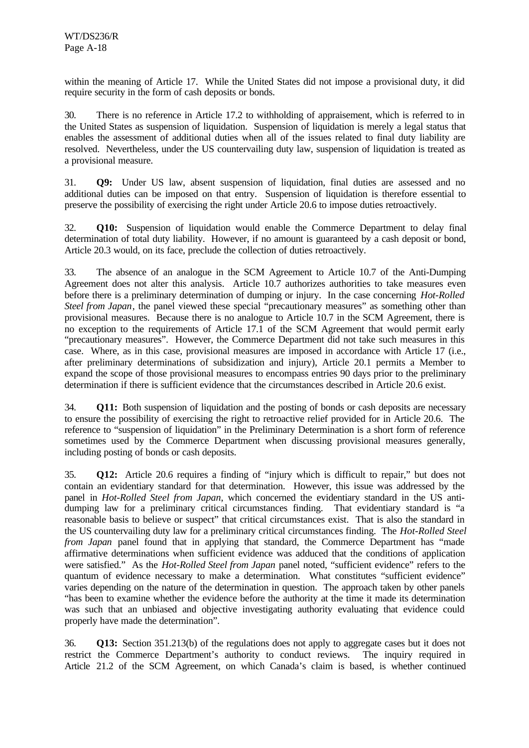within the meaning of Article 17. While the United States did not impose a provisional duty, it did require security in the form of cash deposits or bonds.

30. There is no reference in Article 17.2 to withholding of appraisement, which is referred to in the United States as suspension of liquidation. Suspension of liquidation is merely a legal status that enables the assessment of additional duties when all of the issues related to final duty liability are resolved. Nevertheless, under the US countervailing duty law, suspension of liquidation is treated as a provisional measure.

31. **Q9:** Under US law, absent suspension of liquidation, final duties are assessed and no additional duties can be imposed on that entry. Suspension of liquidation is therefore essential to preserve the possibility of exercising the right under Article 20.6 to impose duties retroactively.

32. **Q10:** Suspension of liquidation would enable the Commerce Department to delay final determination of total duty liability. However, if no amount is guaranteed by a cash deposit or bond, Article 20.3 would, on its face, preclude the collection of duties retroactively.

33. The absence of an analogue in the SCM Agreement to Article 10.7 of the Anti-Dumping Agreement does not alter this analysis. Article 10.7 authorizes authorities to take measures even before there is a preliminary determination of dumping or injury. In the case concerning *Hot-Rolled Steel from Japan*, the panel viewed these special "precautionary measures" as something other than provisional measures. Because there is no analogue to Article 10.7 in the SCM Agreement, there is no exception to the requirements of Article 17.1 of the SCM Agreement that would permit early "precautionary measures". However, the Commerce Department did not take such measures in this case. Where, as in this case, provisional measures are imposed in accordance with Article 17 (i.e., after preliminary determinations of subsidization and injury), Article 20.1 permits a Member to expand the scope of those provisional measures to encompass entries 90 days prior to the preliminary determination if there is sufficient evidence that the circumstances described in Article 20.6 exist.

34. **Q11:** Both suspension of liquidation and the posting of bonds or cash deposits are necessary to ensure the possibility of exercising the right to retroactive relief provided for in Article 20.6. The reference to "suspension of liquidation" in the Preliminary Determination is a short form of reference sometimes used by the Commerce Department when discussing provisional measures generally, including posting of bonds or cash deposits.

35. **Q12:** Article 20.6 requires a finding of "injury which is difficult to repair," but does not contain an evidentiary standard for that determination. However, this issue was addressed by the panel in *Hot-Rolled Steel from Japan*, which concerned the evidentiary standard in the US antidumping law for a preliminary critical circumstances finding. That evidentiary standard is "a reasonable basis to believe or suspect" that critical circumstances exist. That is also the standard in the US countervailing duty law for a preliminary critical circumstances finding. The *Hot-Rolled Steel from Japan* panel found that in applying that standard, the Commerce Department has "made affirmative determinations when sufficient evidence was adduced that the conditions of application were satisfied." As the *Hot-Rolled Steel from Japan* panel noted, "sufficient evidence" refers to the quantum of evidence necessary to make a determination. What constitutes "sufficient evidence" varies depending on the nature of the determination in question. The approach taken by other panels "has been to examine whether the evidence before the authority at the time it made its determination was such that an unbiased and objective investigating authority evaluating that evidence could properly have made the determination".

36. **Q13:** Section 351.213(b) of the regulations does not apply to aggregate cases but it does not restrict the Commerce Department's authority to conduct reviews. The inquiry required in Article 21.2 of the SCM Agreement, on which Canada's claim is based, is whether continued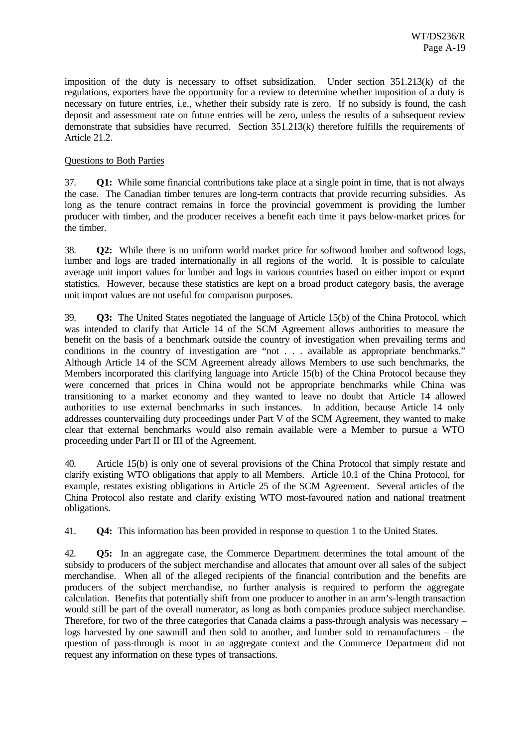imposition of the duty is necessary to offset subsidization. Under section 351.213(k) of the regulations, exporters have the opportunity for a review to determine whether imposition of a duty is necessary on future entries, i.e., whether their subsidy rate is zero. If no subsidy is found, the cash deposit and assessment rate on future entries will be zero, unless the results of a subsequent review demonstrate that subsidies have recurred. Section 351.213(k) therefore fulfills the requirements of Article 21.2.

#### Questions to Both Parties

37. **Q1:** While some financial contributions take place at a single point in time, that is not always the case. The Canadian timber tenures are long-term contracts that provide recurring subsidies. As long as the tenure contract remains in force the provincial government is providing the lumber producer with timber, and the producer receives a benefit each time it pays below-market prices for the timber.

38. **Q2:** While there is no uniform world market price for softwood lumber and softwood logs, lumber and logs are traded internationally in all regions of the world. It is possible to calculate average unit import values for lumber and logs in various countries based on either import or export statistics. However, because these statistics are kept on a broad product category basis, the average unit import values are not useful for comparison purposes.

39. **Q3:** The United States negotiated the language of Article 15(b) of the China Protocol, which was intended to clarify that Article 14 of the SCM Agreement allows authorities to measure the benefit on the basis of a benchmark outside the country of investigation when prevailing terms and conditions in the country of investigation are "not . . . available as appropriate benchmarks." Although Article 14 of the SCM Agreement already allows Members to use such benchmarks, the Members incorporated this clarifying language into Article 15(b) of the China Protocol because they were concerned that prices in China would not be appropriate benchmarks while China was transitioning to a market economy and they wanted to leave no doubt that Article 14 allowed authorities to use external benchmarks in such instances. In addition, because Article 14 only addresses countervailing duty proceedings under Part V of the SCM Agreement, they wanted to make clear that external benchmarks would also remain available were a Member to pursue a WTO proceeding under Part II or III of the Agreement.

40. Article 15(b) is only one of several provisions of the China Protocol that simply restate and clarify existing WTO obligations that apply to all Members. Article 10.1 of the China Protocol, for example, restates existing obligations in Article 25 of the SCM Agreement. Several articles of the China Protocol also restate and clarify existing WTO most-favoured nation and national treatment obligations.

41. **Q4:** This information has been provided in response to question 1 to the United States.

42. **Q5:** In an aggregate case, the Commerce Department determines the total amount of the subsidy to producers of the subject merchandise and allocates that amount over all sales of the subject merchandise. When all of the alleged recipients of the financial contribution and the benefits are producers of the subject merchandise, no further analysis is required to perform the aggregate calculation. Benefits that potentially shift from one producer to another in an arm's-length transaction would still be part of the overall numerator, as long as both companies produce subject merchandise. Therefore, for two of the three categories that Canada claims a pass-through analysis was necessary – logs harvested by one sawmill and then sold to another, and lumber sold to remanufacturers – the question of pass-through is moot in an aggregate context and the Commerce Department did not request any information on these types of transactions.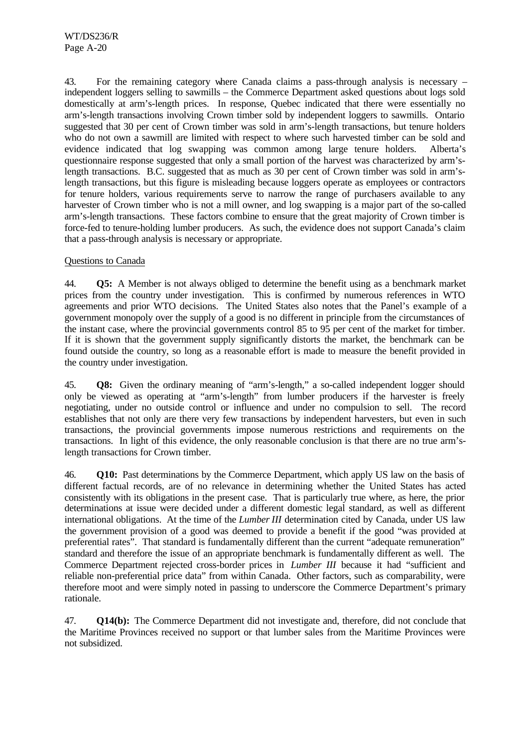43. For the remaining category where Canada claims a pass-through analysis is necessary – independent loggers selling to sawmills – the Commerce Department asked questions about logs sold domestically at arm's-length prices. In response, Quebec indicated that there were essentially no arm's-length transactions involving Crown timber sold by independent loggers to sawmills. Ontario suggested that 30 per cent of Crown timber was sold in arm's-length transactions, but tenure holders who do not own a sawmill are limited with respect to where such harvested timber can be sold and evidence indicated that log swapping was common among large tenure holders. Alberta's questionnaire response suggested that only a small portion of the harvest was characterized by arm'slength transactions. B.C. suggested that as much as 30 per cent of Crown timber was sold in arm'slength transactions, but this figure is misleading because loggers operate as employees or contractors for tenure holders, various requirements serve to narrow the range of purchasers available to any harvester of Crown timber who is not a mill owner, and log swapping is a major part of the so-called arm's-length transactions. These factors combine to ensure that the great majority of Crown timber is force-fed to tenure-holding lumber producers. As such, the evidence does not support Canada's claim that a pass-through analysis is necessary or appropriate.

### Questions to Canada

44. **Q5:** A Member is not always obliged to determine the benefit using as a benchmark market prices from the country under investigation. This is confirmed by numerous references in WTO agreements and prior WTO decisions. The United States also notes that the Panel's example of a government monopoly over the supply of a good is no different in principle from the circumstances of the instant case, where the provincial governments control 85 to 95 per cent of the market for timber. If it is shown that the government supply significantly distorts the market, the benchmark can be found outside the country, so long as a reasonable effort is made to measure the benefit provided in the country under investigation.

45. **Q8:** Given the ordinary meaning of "arm's-length," a so-called independent logger should only be viewed as operating at "arm's-length" from lumber producers if the harvester is freely negotiating, under no outside control or influence and under no compulsion to sell. The record establishes that not only are there very few transactions by independent harvesters, but even in such transactions, the provincial governments impose numerous restrictions and requirements on the transactions. In light of this evidence, the only reasonable conclusion is that there are no true arm'slength transactions for Crown timber.

46. **Q10:** Past determinations by the Commerce Department, which apply US law on the basis of different factual records, are of no relevance in determining whether the United States has acted consistently with its obligations in the present case. That is particularly true where, as here, the prior determinations at issue were decided under a different domestic legal standard, as well as different international obligations. At the time of the *Lumber III* determination cited by Canada, under US law the government provision of a good was deemed to provide a benefit if the good "was provided at preferential rates". That standard is fundamentally different than the current "adequate remuneration" standard and therefore the issue of an appropriate benchmark is fundamentally different as well. The Commerce Department rejected cross-border prices in *Lumber III* because it had "sufficient and reliable non-preferential price data" from within Canada. Other factors, such as comparability, were therefore moot and were simply noted in passing to underscore the Commerce Department's primary rationale.

47. **Q14(b):** The Commerce Department did not investigate and, therefore, did not conclude that the Maritime Provinces received no support or that lumber sales from the Maritime Provinces were not subsidized.